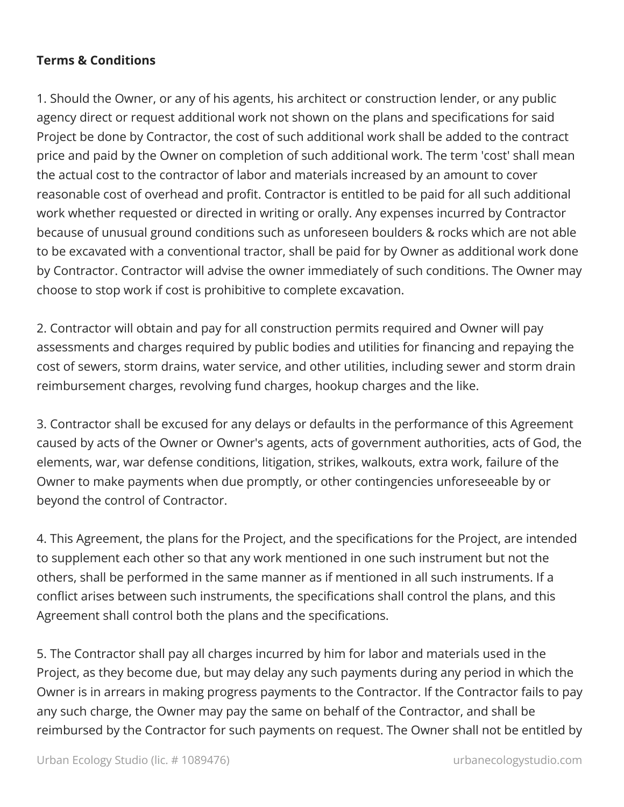## **Terms & Conditions**

1. Should the Owner, or any of his agents, his architect or construction lender, or any public agency direct or request additional work not shown on the plans and specifications for said Project be done by Contractor, the cost of such additional work shall be added to the contract price and paid by the Owner on completion of such additional work. The term 'cost' shall mean the actual cost to the contractor of labor and materials increased by an amount to cover reasonable cost of overhead and profit. Contractor is entitled to be paid for all such additional work whether requested or directed in writing or orally. Any expenses incurred by Contractor because of unusual ground conditions such as unforeseen boulders & rocks which are not able to be excavated with a conventional tractor, shall be paid for by Owner as additional work done by Contractor. Contractor will advise the owner immediately of such conditions. The Owner may choose to stop work if cost is prohibitive to complete excavation.

2. Contractor will obtain and pay for all construction permits required and Owner will pay assessments and charges required by public bodies and utilities for financing and repaying the cost of sewers, storm drains, water service, and other utilities, including sewer and storm drain reimbursement charges, revolving fund charges, hookup charges and the like.

3. Contractor shall be excused for any delays or defaults in the performance of this Agreement caused by acts of the Owner or Owner's agents, acts of government authorities, acts of God, the elements, war, war defense conditions, litigation, strikes, walkouts, extra work, failure of the Owner to make payments when due promptly, or other contingencies unforeseeable by or beyond the control of Contractor.

4. This Agreement, the plans for the Project, and the specifications for the Project, are intended to supplement each other so that any work mentioned in one such instrument but not the others, shall be performed in the same manner as if mentioned in all such instruments. If a conflict arises between such instruments, the specifications shall control the plans, and this Agreement shall control both the plans and the specifications.

5. The Contractor shall pay all charges incurred by him for labor and materials used in the Project, as they become due, but may delay any such payments during any period in which the Owner is in arrears in making progress payments to the Contractor. If the Contractor fails to pay any such charge, the Owner may pay the same on behalf of the Contractor, and shall be reimbursed by the Contractor for such payments on request. The Owner shall not be entitled by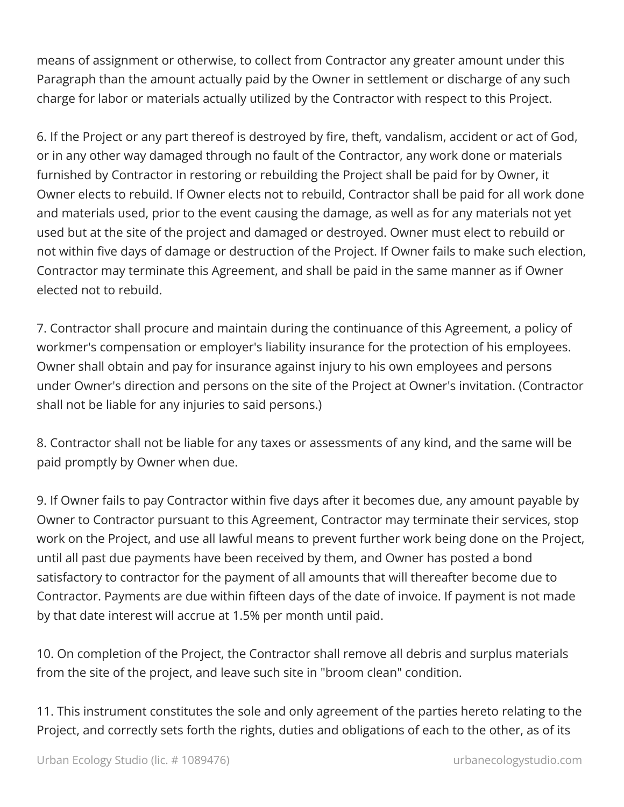means of assignment or otherwise, to collect from Contractor any greater amount under this Paragraph than the amount actually paid by the Owner in settlement or discharge of any such charge for labor or materials actually utilized by the Contractor with respect to this Project.

6. If the Project or any part thereof is destroyed by fire, theft, vandalism, accident or act of God, or in any other way damaged through no fault of the Contractor, any work done or materials furnished by Contractor in restoring or rebuilding the Project shall be paid for by Owner, it Owner elects to rebuild. If Owner elects not to rebuild, Contractor shall be paid for all work done and materials used, prior to the event causing the damage, as well as for any materials not yet used but at the site of the project and damaged or destroyed. Owner must elect to rebuild or not within five days of damage or destruction of the Project. If Owner fails to make such election, Contractor may terminate this Agreement, and shall be paid in the same manner as if Owner elected not to rebuild.

7. Contractor shall procure and maintain during the continuance of this Agreement, a policy of workmer's compensation or employer's liability insurance for the protection of his employees. Owner shall obtain and pay for insurance against injury to his own employees and persons under Owner's direction and persons on the site of the Project at Owner's invitation. (Contractor shall not be liable for any injuries to said persons.)

8. Contractor shall not be liable for any taxes or assessments of any kind, and the same will be paid promptly by Owner when due.

9. If Owner fails to pay Contractor within five days after it becomes due, any amount payable by Owner to Contractor pursuant to this Agreement, Contractor may terminate their services, stop work on the Project, and use all lawful means to prevent further work being done on the Project, until all past due payments have been received by them, and Owner has posted a bond satisfactory to contractor for the payment of all amounts that will thereafter become due to Contractor. Payments are due within fifteen days of the date of invoice. If payment is not made by that date interest will accrue at 1.5% per month until paid.

10. On completion of the Project, the Contractor shall remove all debris and surplus materials from the site of the project, and leave such site in "broom clean" condition.

11. This instrument constitutes the sole and only agreement of the parties hereto relating to the Project, and correctly sets forth the rights, duties and obligations of each to the other, as of its